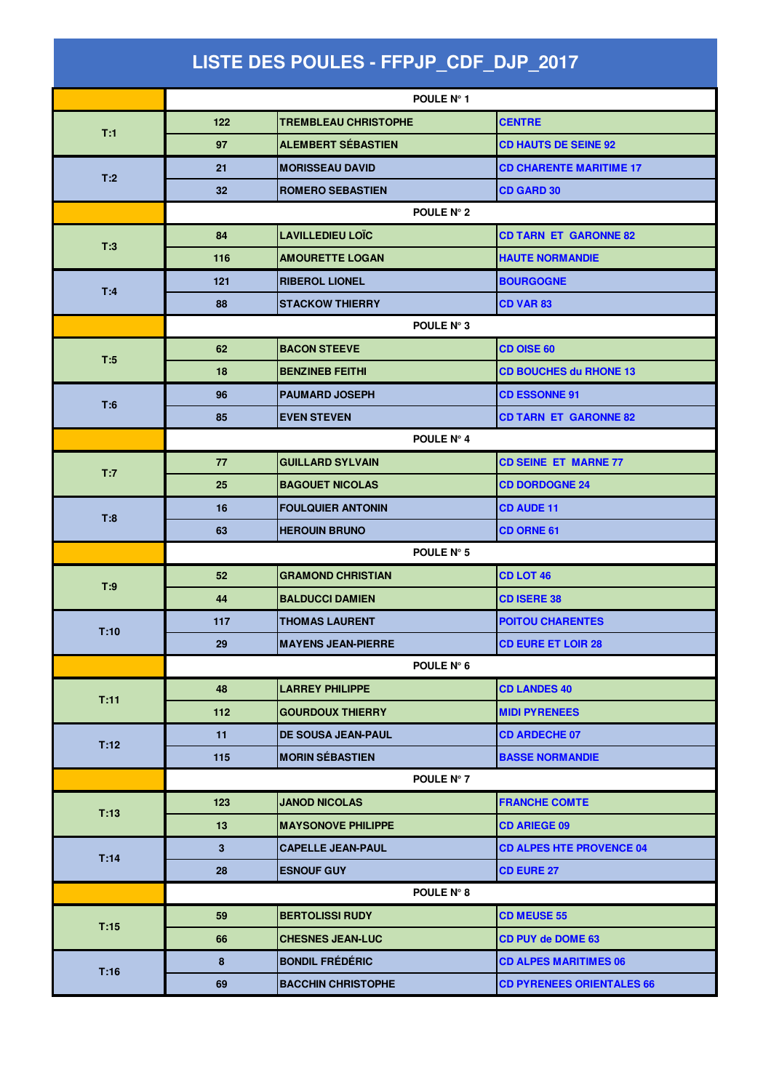| LISTE DES POULES - FFPJP_CDF_DJP_2017 |            |                             |                                  |  |  |  |
|---------------------------------------|------------|-----------------------------|----------------------------------|--|--|--|
|                                       |            | POULE N° 1                  |                                  |  |  |  |
| T:1                                   | 122        | <b>TREMBLEAU CHRISTOPHE</b> | <b>CENTRE</b>                    |  |  |  |
|                                       | 97         | <b>ALEMBERT SÉBASTIEN</b>   | <b>CD HAUTS DE SEINE 92</b>      |  |  |  |
|                                       | 21         | <b>MORISSEAU DAVID</b>      | <b>CD CHARENTE MARITIME 17</b>   |  |  |  |
| T:2                                   | 32         | <b>ROMERO SEBASTIEN</b>     | <b>CD GARD 30</b>                |  |  |  |
|                                       |            | POULE N° 2                  |                                  |  |  |  |
|                                       | 84         | <b>LAVILLEDIEU LOÏC</b>     | <b>CD TARN ET GARONNE 82</b>     |  |  |  |
| T:3                                   | 116        | <b>AMOURETTE LOGAN</b>      | <b>HAUTE NORMANDIE</b>           |  |  |  |
| T:4                                   | 121        | <b>RIBEROL LIONEL</b>       | <b>BOURGOGNE</b>                 |  |  |  |
|                                       | 88         | <b>STACKOW THIERRY</b>      | <b>CD VAR 83</b>                 |  |  |  |
|                                       |            | POULE N° 3                  |                                  |  |  |  |
| T:5                                   | 62         | <b>BACON STEEVE</b>         | <b>CD OISE 60</b>                |  |  |  |
|                                       | 18         | <b>BENZINEB FEITHI</b>      | <b>CD BOUCHES du RHONE 13</b>    |  |  |  |
| T:6                                   | 96         | <b>PAUMARD JOSEPH</b>       | <b>CD ESSONNE 91</b>             |  |  |  |
|                                       | 85         | <b>EVEN STEVEN</b>          | <b>CD TARN ET GARONNE 82</b>     |  |  |  |
|                                       |            | POULE N° 4                  |                                  |  |  |  |
| T:7                                   | 77         | <b>GUILLARD SYLVAIN</b>     | <b>CD SEINE ET MARNE 77</b>      |  |  |  |
|                                       | 25         | <b>BAGOUET NICOLAS</b>      | <b>CD DORDOGNE 24</b>            |  |  |  |
| T:8                                   | 16         | <b>FOULQUIER ANTONIN</b>    | <b>CD AUDE 11</b>                |  |  |  |
|                                       | 63         | <b>HEROUIN BRUNO</b>        | CD ORNE 61                       |  |  |  |
|                                       | POULE N° 5 |                             |                                  |  |  |  |
| T:9                                   | 52         | <b>GRAMOND CHRISTIAN</b>    | <b>CD LOT 46</b>                 |  |  |  |
|                                       | 44         | <b>BALDUCCI DAMIEN</b>      | <b>CD ISERE 38</b>               |  |  |  |
| T:10                                  | 117        | <b>THOMAS LAURENT</b>       | <b>POITOU CHARENTES</b>          |  |  |  |
|                                       | 29         | <b>MAYENS JEAN-PIERRE</b>   | <b>CD EURE ET LOIR 28</b>        |  |  |  |
|                                       |            | POULE N° 6                  |                                  |  |  |  |
| T:11                                  | 48         | <b>LARREY PHILIPPE</b>      | <b>CD LANDES 40</b>              |  |  |  |
|                                       | 112        | <b>GOURDOUX THIERRY</b>     | <b>MIDI PYRENEES</b>             |  |  |  |
| T:12                                  | 11         | DE SOUSA JEAN-PAUL          | <b>CD ARDECHE 07</b>             |  |  |  |
|                                       | 115        | <b>MORIN SÉBASTIEN</b>      | <b>BASSE NORMANDIE</b>           |  |  |  |
|                                       |            | POULE N° 7                  |                                  |  |  |  |
| T:13                                  | 123        | <b>JANOD NICOLAS</b>        | <b>FRANCHE COMTE</b>             |  |  |  |
|                                       | 13         | <b>MAYSONOVE PHILIPPE</b>   | <b>CD ARIEGE 09</b>              |  |  |  |
| T:14                                  | 3          | <b>CAPELLE JEAN-PAUL</b>    | <b>CD ALPES HTE PROVENCE 04</b>  |  |  |  |
|                                       | 28         | <b>ESNOUF GUY</b>           | <b>CD EURE 27</b>                |  |  |  |
|                                       |            | POULE N° 8                  |                                  |  |  |  |
| T:15                                  | 59         | <b>BERTOLISSI RUDY</b>      | <b>CD MEUSE 55</b>               |  |  |  |
|                                       | 66         | <b>CHESNES JEAN-LUC</b>     | <b>CD PUY de DOME 63</b>         |  |  |  |
| T:16                                  | 8          | <b>BONDIL FRÉDÉRIC</b>      | <b>CD ALPES MARITIMES 06</b>     |  |  |  |
|                                       | 69         | <b>BACCHIN CHRISTOPHE</b>   | <b>CD PYRENEES ORIENTALES 66</b> |  |  |  |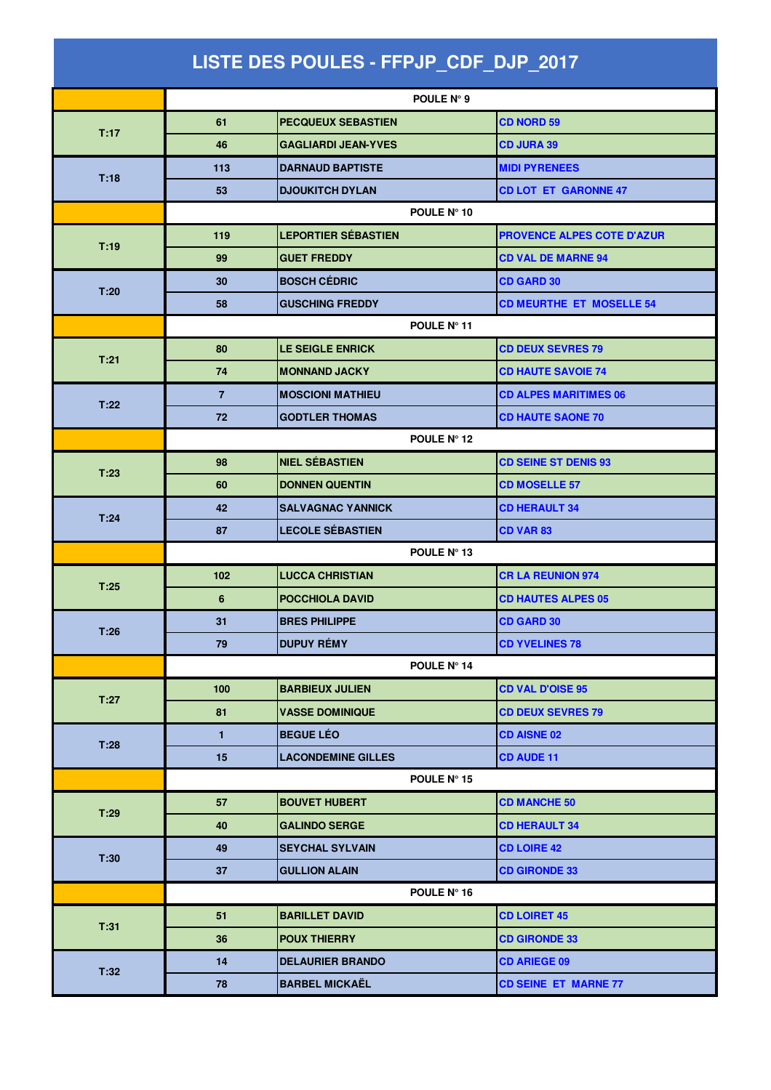| LISTE DES POULES - FFPJP_CDF_DJP_2017 |                |                            |                                   |  |  |
|---------------------------------------|----------------|----------------------------|-----------------------------------|--|--|
|                                       |                | POULE N° 9                 |                                   |  |  |
| T:17                                  | 61             | <b>PECQUEUX SEBASTIEN</b>  | <b>CD NORD 59</b>                 |  |  |
|                                       | 46             | <b>GAGLIARDI JEAN-YVES</b> | <b>CD JURA 39</b>                 |  |  |
|                                       | 113            | <b>DARNAUD BAPTISTE</b>    | <b>MIDI PYRENEES</b>              |  |  |
| T:18                                  | 53             | <b>DJOUKITCH DYLAN</b>     | <b>CD LOT ET GARONNE 47</b>       |  |  |
|                                       | POULE N° 10    |                            |                                   |  |  |
|                                       | 119            | <b>LEPORTIER SÉBASTIEN</b> | <b>PROVENCE ALPES COTE D'AZUR</b> |  |  |
| T:19                                  | 99             | <b>GUET FREDDY</b>         | <b>CD VAL DE MARNE 94</b>         |  |  |
| T:20                                  | 30             | <b>BOSCH CÉDRIC</b>        | <b>CD GARD 30</b>                 |  |  |
|                                       | 58             | <b>GUSCHING FREDDY</b>     | <b>CD MEURTHE ET MOSELLE 54</b>   |  |  |
|                                       | POULE N° 11    |                            |                                   |  |  |
| T:21                                  | 80             | <b>LE SEIGLE ENRICK</b>    | <b>CD DEUX SEVRES 79</b>          |  |  |
|                                       | 74             | <b>MONNAND JACKY</b>       | <b>CD HAUTE SAVOIE 74</b>         |  |  |
| T:22                                  | $\overline{7}$ | <b>MOSCIONI MATHIEU</b>    | <b>CD ALPES MARITIMES 06</b>      |  |  |
|                                       | 72             | <b>GODTLER THOMAS</b>      | <b>CD HAUTE SAONE 70</b>          |  |  |
|                                       | POULE N° 12    |                            |                                   |  |  |
| T:23                                  | 98             | <b>NIEL SÉBASTIEN</b>      | <b>CD SEINE ST DENIS 93</b>       |  |  |
|                                       | 60             | <b>DONNEN QUENTIN</b>      | <b>CD MOSELLE 57</b>              |  |  |
| T:24                                  | 42             | <b>SALVAGNAC YANNICK</b>   | <b>CD HERAULT 34</b>              |  |  |
|                                       | 87             | <b>LECOLE SÉBASTIEN</b>    | <b>CD VAR 83</b>                  |  |  |
|                                       | POULE N° 13    |                            |                                   |  |  |
| T:25                                  | 102            | <b>LUCCA CHRISTIAN</b>     | <b>CR LA REUNION 974</b>          |  |  |
|                                       | 6              | <b>POCCHIOLA DAVID</b>     | <b>CD HAUTES ALPES 05</b>         |  |  |
| T:26                                  | 31             | <b>BRES PHILIPPE</b>       | CD GARD 30                        |  |  |
|                                       | 79             | <b>DUPUY RÉMY</b>          | <b>CD YVELINES 78</b>             |  |  |
|                                       |                | POULE N° 14                |                                   |  |  |
| T:27                                  | 100            | <b>BARBIEUX JULIEN</b>     | <b>CD VAL D'OISE 95</b>           |  |  |
|                                       | 81             | <b>VASSE DOMINIQUE</b>     | <b>CD DEUX SEVRES 79</b>          |  |  |
| T:28                                  | $\mathbf{1}$   | <b>BEGUE LÉO</b>           | <b>CD AISNE 02</b>                |  |  |
|                                       | 15             | <b>LACONDEMINE GILLES</b>  | <b>CD AUDE 11</b>                 |  |  |
|                                       |                | POULE N° 15                |                                   |  |  |
| T:29                                  | 57             | <b>BOUVET HUBERT</b>       | <b>CD MANCHE 50</b>               |  |  |
|                                       | 40             | <b>GALINDO SERGE</b>       | <b>CD HERAULT 34</b>              |  |  |
| T:30                                  | 49             | <b>SEYCHAL SYLVAIN</b>     | <b>CD LOIRE 42</b>                |  |  |
|                                       | 37             | <b>GULLION ALAIN</b>       | <b>CD GIRONDE 33</b>              |  |  |
|                                       |                | POULE N° 16                |                                   |  |  |
| T:31                                  | 51             | <b>BARILLET DAVID</b>      | <b>CD LOIRET 45</b>               |  |  |
|                                       | 36             | <b>POUX THIERRY</b>        | <b>CD GIRONDE 33</b>              |  |  |
| T:32                                  | 14             | <b>DELAURIER BRANDO</b>    | <b>CD ARIEGE 09</b>               |  |  |
|                                       | 78             | <b>BARBEL MICKAËL</b>      | <b>CD SEINE ET MARNE 77</b>       |  |  |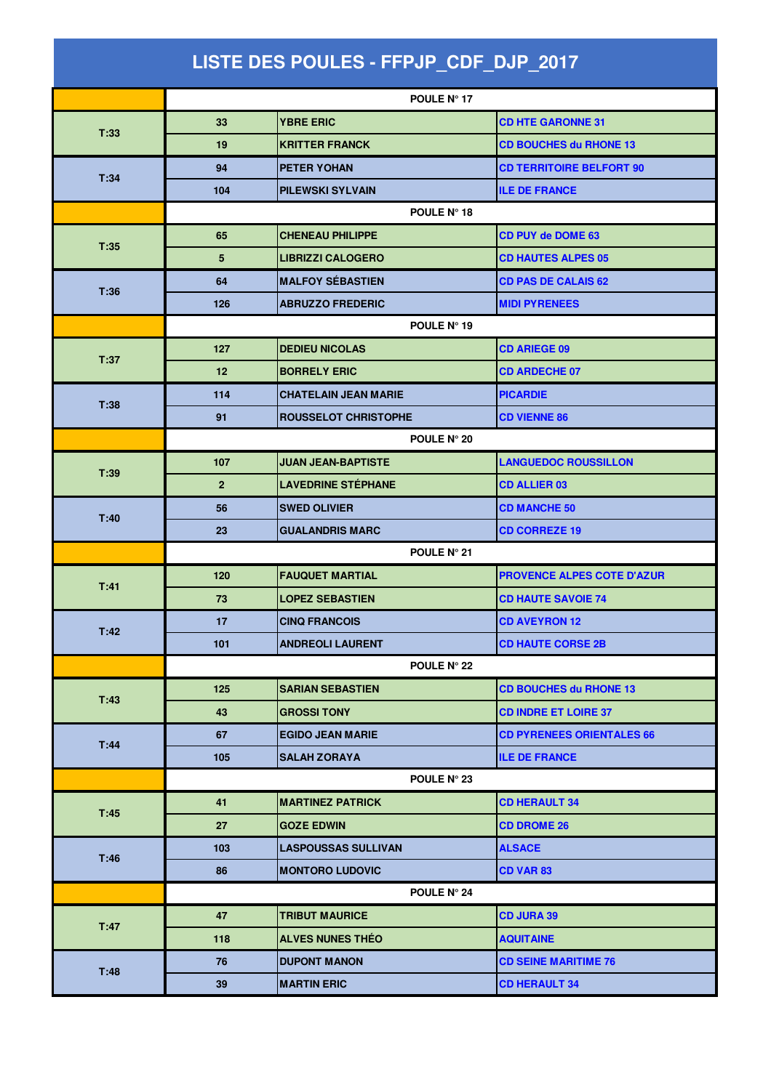| LISTE DES POULES - FFPJP_CDF_DJP_2017 |                    |                             |                                   |  |  |
|---------------------------------------|--------------------|-----------------------------|-----------------------------------|--|--|
|                                       |                    | <b>POULE N° 17</b>          |                                   |  |  |
|                                       | 33                 | <b>YBRE ERIC</b>            | <b>CD HTE GARONNE 31</b>          |  |  |
| T:33                                  | 19                 | <b>KRITTER FRANCK</b>       | <b>CD BOUCHES du RHONE 13</b>     |  |  |
|                                       | 94                 | <b>PETER YOHAN</b>          | <b>CD TERRITOIRE BELFORT 90</b>   |  |  |
| T:34                                  | 104                | <b>PILEWSKI SYLVAIN</b>     | <b>ILE DE FRANCE</b>              |  |  |
|                                       | POULE N° 18        |                             |                                   |  |  |
| T:35                                  | 65                 | <b>CHENEAU PHILIPPE</b>     | <b>CD PUY de DOME 63</b>          |  |  |
|                                       | 5                  | <b>LIBRIZZI CALOGERO</b>    | <b>CD HAUTES ALPES 05</b>         |  |  |
| T:36                                  | 64                 | <b>MALFOY SÉBASTIEN</b>     | <b>CD PAS DE CALAIS 62</b>        |  |  |
|                                       | 126                | <b>ABRUZZO FREDERIC</b>     | <b>MIDI PYRENEES</b>              |  |  |
|                                       | POULE N° 19        |                             |                                   |  |  |
| T:37                                  | 127                | <b>DEDIEU NICOLAS</b>       | <b>CD ARIEGE 09</b>               |  |  |
|                                       | 12                 | <b>BORRELY ERIC</b>         | <b>CD ARDECHE 07</b>              |  |  |
| T:38                                  | 114                | <b>CHATELAIN JEAN MARIE</b> | <b>PICARDIE</b>                   |  |  |
|                                       | 91                 | <b>ROUSSELOT CHRISTOPHE</b> | <b>CD VIENNE 86</b>               |  |  |
|                                       |                    | POULE N° 20                 |                                   |  |  |
| T:39                                  | 107                | <b>JUAN JEAN-BAPTISTE</b>   | <b>LANGUEDOC ROUSSILLON</b>       |  |  |
|                                       | $\overline{2}$     | <b>LAVEDRINE STÉPHANE</b>   | <b>CD ALLIER 03</b>               |  |  |
| T:40                                  | 56                 | <b>SWED OLIVIER</b>         | <b>CD MANCHE 50</b>               |  |  |
|                                       | 23                 | <b>GUALANDRIS MARC</b>      | <b>CD CORREZE 19</b>              |  |  |
|                                       | POULE N° 21        |                             |                                   |  |  |
| T:41                                  | 120                | <b>FAUQUET MARTIAL</b>      | <b>PROVENCE ALPES COTE D'AZUR</b> |  |  |
|                                       | 73                 | <b>LOPEZ SEBASTIEN</b>      | <b>CD HAUTE SAVOIE 74</b>         |  |  |
| T:42                                  | 17                 | <b>CINQ FRANCOIS</b>        | <b>CD AVEYRON 12</b>              |  |  |
|                                       | 101                | <b>ANDREOLI LAURENT</b>     | <b>CD HAUTE CORSE 2B</b>          |  |  |
|                                       | <b>POULE N° 22</b> |                             |                                   |  |  |
| T:43                                  | 125                | <b>SARIAN SEBASTIEN</b>     | <b>CD BOUCHES du RHONE 13</b>     |  |  |
|                                       | 43                 | <b>GROSSI TONY</b>          | <b>CD INDRE ET LOIRE 37</b>       |  |  |
| T:44                                  | 67                 | <b>EGIDO JEAN MARIE</b>     | <b>CD PYRENEES ORIENTALES 66</b>  |  |  |
|                                       | 105                | <b>SALAH ZORAYA</b>         | <b>ILE DE FRANCE</b>              |  |  |
|                                       |                    | POULE N° 23                 |                                   |  |  |
| T:45                                  | 41                 | <b>MARTINEZ PATRICK</b>     | <b>CD HERAULT 34</b>              |  |  |
|                                       | 27                 | <b>GOZE EDWIN</b>           | <b>CD DROME 26</b>                |  |  |
| T:46                                  | 103                | <b>LASPOUSSAS SULLIVAN</b>  | <b>ALSACE</b>                     |  |  |
|                                       | 86                 | <b>MONTORO LUDOVIC</b>      | <b>CD VAR 83</b>                  |  |  |
|                                       |                    | <b>POULE N° 24</b>          |                                   |  |  |
| T:47                                  | 47                 | <b>TRIBUT MAURICE</b>       | <b>CD JURA 39</b>                 |  |  |
|                                       | 118                | <b>ALVES NUNES THEO</b>     | <b>AQUITAINE</b>                  |  |  |
| T:48                                  | 76                 | <b>DUPONT MANON</b>         | <b>CD SEINE MARITIME 76</b>       |  |  |
|                                       | 39                 | <b>MARTIN ERIC</b>          | <b>CD HERAULT 34</b>              |  |  |